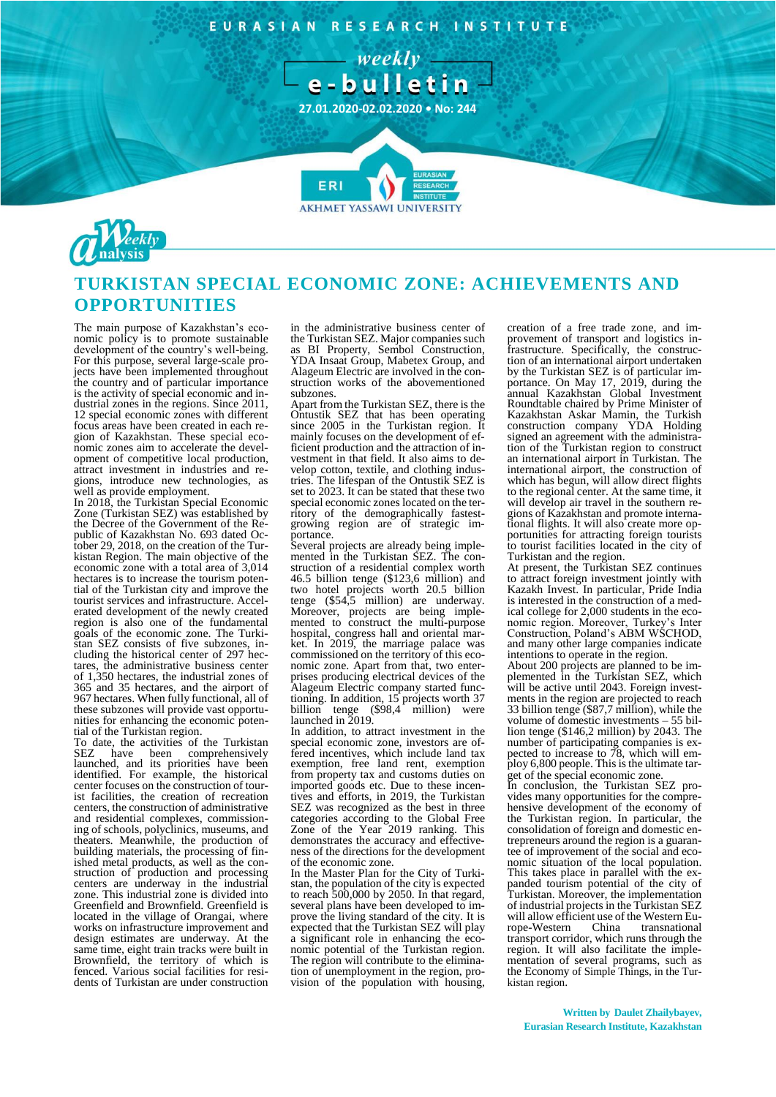EURASIAN RESEARCH INSTITUTE





## **TURKISTAN SPECIAL ECONOMIC ZONE: ACHIEVEMENTS AND OPPORTUNITIES**

**AKHMET YASSAWI UNIVERSIT** 

The main purpose of Kazakhstan's economic policy is to promote sustainable development of the country's well-being. For this purpose, several large-scale projects have been implemented throughout the country and of particular importance is the activity of special economic and industrial zones in the regions. Since 2011, 12 special economic zones with different focus areas have been created in each region of Kazakhstan. These special economic zones aim to accelerate the development of competitive local production, attract investment in industries and regions, introduce new technologies, as well as provide employment.

In 2018, the Turkistan Special Economic Zone (Turkistan SEZ) was established by the Decree of the Government of the Republic of Kazakhstan No. 693 dated October 29, 2018, on the creation of the Turkistan Region. The main objective of the economic zone with a total area of 3,014 hectares is to increase the tourism potential of the Turkistan city and improve the tourist services and infrastructure. Accelerated development of the newly created region is also one of the fundamental goals of the economic zone. The Turkistan SEZ consists of five subzones, including the historical center of 297 hectares, the administrative business center of 1,350 hectares, the industrial zones of 365 and 35 hectares, and the airport of 967 hectares. When fully functional, all of these subzones will provide vast opportunities for enhancing the economic potential of the Turkistan region.

To date, the activities of the Turkistan<br>SEZ have been comprehensively SEZ have been comprehensively launched, and its priorities have been identified. For example, the historical center focuses on the construction of tourist facilities, the creation of recreation centers, the construction of administrative and residential complexes, commissioning of schools, polyclinics, museums, and theaters. Meanwhile, the production of building materials, the processing of finished metal products, as well as the construction of production and processing centers are underway in the industrial zone. This industrial zone is divided into Greenfield and Brownfield. Greenfield is located in the village of Orangai, where works on infrastructure improvement and design estimates are underway. At the same time, eight train tracks were built in Brownfield, the territory of which is fenced. Various social facilities for residents of Turkistan are under construction

in the administrative business center of the Turkistan SEZ. Major companies such as BI Property, Sembol Construction, YDA Insaat Group, Mabetex Group, and Alageum Electric are involved in the construction works of the abovementioned subzones.

Apart from the Turkistan SEZ, there is the Ontustik SEZ that has been operating since 2005 in the Turkistan region. It mainly focuses on the development of efficient production and the attraction of investment in that field. It also aims to develop cotton, textile, and clothing industries. The lifespan of the Ontustik SEZ is set to 2023. It can be stated that these two special economic zones located on the territory of the demographically fastestgrowing region are of strategic importance.

Several projects are already being implemented in the Turkistan SEZ. The construction of a residential complex worth 46.5 billion tenge (\$123,6 million) and two hotel projects worth 20.5 billion tenge (\$54,5 million) are underway. Moreover, projects are being implemented to construct the multi-purpose hospital, congress hall and oriental market. In 2019, the marriage palace was commissioned on the territory of this economic zone. Apart from that, two enterprises producing electrical devices of the Alageum Electric company started functioning. In addition, 15 projects worth 37 billion tenge (\$98,4 million) were launched in 2019.

In addition, to attract investment in the special economic zone, investors are offered incentives, which include land tax exemption, free land rent, exemption from property tax and customs duties on imported goods etc. Due to these incentives and efforts, in 2019, the Turkistan SEZ was recognized as the best in three categories according to the Global Free Zone of the Year 2019 ranking. This demonstrates the accuracy and effectiveness of the directions for the development of the economic zone.

In the Master Plan for the City of Turkistan, the population of the city is expected to reach 500,000 by 2050. In that regard, several plans have been developed to improve the living standard of the city. It is expected that the Turkistan SEZ will play a significant role in enhancing the economic potential of the Turkistan region. The region will contribute to the elimination of unemployment in the region, provision of the population with housing,

creation of a free trade zone, and improvement of transport and logistics infrastructure. Specifically, the construction of an international airport undertaken by the Turkistan SEZ is of particular importance. On May 17, 2019, during the annual Kazakhstan Global Investment Roundtable chaired by Prime Minister of Kazakhstan Askar Mamin, the Turkish construction company YDA Holding signed an agreement with the administration of the Turkistan region to construct an international airport in Turkistan. The international airport, the construction of which has begun, will allow direct flights to the regional center. At the same time, it will develop air travel in the southern regions of Kazakhstan and promote international flights. It will also create more opportunities for attracting foreign tourists to tourist facilities located in the city of Turkistan and the region.

At present, the Turkistan SEZ continues to attract foreign investment jointly with Kazakh Invest. In particular, Pride India is interested in the construction of a medical college for 2,000 students in the economic region. Moreover, Turkey's Inter Construction, Poland's ABM WSCHOD, and many other large companies indicate intentions to operate in the region.

About 200 projects are planned to be implemented in the Turkistan SEZ, which will be active until 2043. Foreign investments in the region are projected to reach 33 billion tenge (\$87,7 million), while the volume of domestic investments – 55 billion tenge (\$146,2 million) by 2043. The number of participating companies is expected to increase to 78, which will employ 6,800 people. This is the ultimate target of the special economic zone.

In conclusion, the Turkistan SEZ provides many opportunities for the comprehensive development of the economy of the Turkistan region. In particular, the consolidation of foreign and domestic entrepreneurs around the region is a guarantee of improvement of the social and economic situation of the local population. This takes place in parallel with the expanded tourism potential of the city of Turkistan. Moreover, the implementation of industrial projects in the Turkistan SEZ will allow efficient use of the Western Europe-Western China transnational transnational transport corridor, which runs through the region. It will also facilitate the implementation of several programs, such as the Economy of Simple Things, in the Turkistan region.

**Written by Daulet Zhailybayev, Eurasian Research Institute, Kazakhstan**